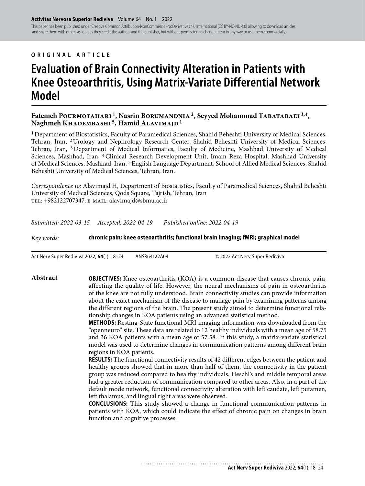This paper has been published under Creative Common Attribution-NonCommercial-NoDerivatives 4.0 International (CC BY-NC-ND 4.0) allowing to download articles and share them with others as long as they credit the authors and the publisher, but without permission to change them in any way or use them commercially.

#### **ORIGINAL ARTICLE**

# **Evaluation of Brain Connectivity Alteration in Patients with Knee Osteoarthritis, Using Matrix-Variate Differential Network Model**

Fatemeh POURMOTAHARI<sup>1</sup>, Nasrin BORUMANDNIA<sup>2</sup>, Seyyed Mohammad TABATABAEI<sup>3,4</sup>, Naghmeh KHADEMBASHI<sup>5</sup>, Hamid ALAVIMAJD<sup>1</sup>

<sup>1</sup> Department of Biostatistics, Faculty of Paramedical Sciences, Shahid Beheshti University of Medical Sciences, Tehran, Iran, 2 Urology and Nephrology Research Center, Shahid Beheshti University of Medical Sciences, Tehran, Iran, 3 Department of Medical Informatics, Faculty of Medicine, Mashhad University of Medical Sciences, Mashhad, Iran, 4 Clinical Research Development Unit, Imam Reza Hospital, Mashhad University of Medical Sciences, Mashhad, Iran, 5 English Language Department, School of Allied Medical Sciences, Shahid Beheshti University of Medical Sciences, Tehran, Iran.

*Correspondence to:* Alavimajd H, Department of Biostatistics, Faculty of Paramedical Sciences, Shahid Beheshti University of Medical Sciences, Qods Square, Tajrish, Tehran, Iran tel: +982122707347; e-mail: alavimajd@sbmu.ac.ir

*Submitted: 2022-03-15 Accepted: 2022-04-19 Published online: 2022-04-19*

*Key words:* **chronic pain; knee osteoarthritis; functional brain imaging; fMRI; graphical model** 

Act Nerv Super Rediviva 2022; **64**(1): 18–24 ANSR64122A04 © 2022 Act Nerv Super Rediviva

**Abstract OBJECTIVES:** Knee osteoarthritis (KOA) is a common disease that causes chronic pain, affecting the quality of life. However, the neural mechanisms of pain in osteoarthritis of the knee are not fully understood. Brain connectivity studies can provide information about the exact mechanism of the disease to manage pain by examining patterns among the different regions of the brain. The present study aimed to determine functional relationship changes in KOA patients using an advanced statistical method.

> **METHODS:** Resting-State functional MRI imaging information was downloaded from the "openneuro" site. These data are related to 12 healthy individuals with a mean age of 58.75 and 36 KOA patients with a mean age of 57.58. In this study, a matrix-variate statistical model was used to determine changes in communication patterns among different brain regions in KOA patients.

> **RESULTS:** The functional connectivity results of 42 different edges between the patient and healthy groups showed that in more than half of them, the connectivity in the patient group was reduced compared to healthy individuals. Heschl's and middle temporal areas had a greater reduction of communication compared to other areas. Also, in a part of the default mode network, functional connectivity alteration with left caudate, left putamen, left thalamus, and lingual right areas were observed.

> **CONCLUSIONS:** This study showed a change in functional communication patterns in patients with KOA, which could indicate the effect of chronic pain on changes in brain function and cognitive processes.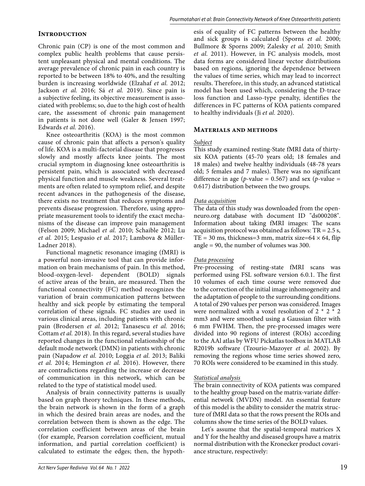# **Introduction**

Chronic pain (CP) is one of the most common and complex public health problems that cause persistent unpleasant physical and mental conditions. The average prevalence of chronic pain in each country is reported to be between 18% to 40%, and the resulting burden is increasing worldwide (Elzahaf *et al.* 2012; Jackson *et al.* 2016; Sá *et al.* 2019). Since pain is a subjective feeling, its objective measurement is associated with problems; so, due to the high cost of health care, the assessment of chronic pain management in patients is not done well (Galer & Jensen 1997; Edwards *et al.* 2016).

Knee osteoarthritis (KOA) is the most common cause of chronic pain that affects a person's quality of life. KOA is a multi-factorial disease that progresses slowly and mostly affects knee joints. The most crucial symptom in diagnosing knee osteoarthritis is persistent pain, which is associated with decreased physical function and muscle weakness. Several treatments are often related to symptom relief, and despite recent advances in the pathogenesis of the disease, there exists no treatment that reduces symptoms and prevents disease progression. Therefore, using appropriate measurement tools to identify the exact mechanisms of the disease can improve pain management (Felson 2009; Michael *et al.* 2010; Schaible 2012; Lu *et al.* 2015; Lespasio *et al.* 2017; Lambova & Müller-Ladner 2018).

Functional magnetic resonance imaging (fMRI) is a powerful non-invasive tool that can provide information on brain mechanisms of pain. In this method, blood-oxygen-level- dependent (BOLD) signals of active areas of the brain, are measured. Then the functional connectivity (FC) method recognizes the variation of brain communication patterns between healthy and sick people by estimating the temporal correlation of these signals. FC studies are used in various clinical areas, including patients with chronic pain (Brodersen *et al.* 2012; Tanasescu *et al.* 2016; Cottam *et al.* 2018). In this regard, several studies have reported changes in the functional relationship of the default mode network (DMN) in patients with chronic pain (Napadow *et al.* 2010; Loggia *et al.* 2013; Baliki *et al.* 2014; Hemington *et al.* 2016). However, there are contradictions regarding the increase or decrease of communication in this network, which can be related to the type of statistical model used.

Analysis of brain connectivity patterns is usually based on graph theory techniques. In these methods, the brain network is shown in the form of a graph in which the desired brain areas are nodes, and the correlation between them is shown as the edge. The correlation coefficient between areas of the brain (for example, Pearson correlation coefficient, mutual information, and partial correlation coefficient) is calculated to estimate the edges; then, the hypothesis of equality of FC patterns between the healthy and sick groups is calculated (Sporns *et al.* 2000; Bullmore & Sporns 2009; Zalesky *et al.* 2010; Smith *et al.* 2011). However, in FC analysis models, most data forms are considered linear vector distributions based on regions, ignoring the dependence between the values of time series, which may lead to incorrect results. Therefore, in this study, an advanced statistical model has been used which, considering the D-trace loss function and Lasso-type penalty, identifies the differences in FC patterns of KOA patients compared to healthy individuals (Ji *et al.* 2020).

#### **Materials and methods**

#### *Subject*

This study examined resting-State fMRI data of thirtysix KOA patients (45-70 years old; 18 females and 18 males) and twelve healthy individuals (48-78 years old; 5 females and 7 males). There was no significant difference in age ( $p$ -value = 0.567) and sex ( $p$ -value = 0.617) distribution between the two groups.

#### *Data acquisition*

The data of this study was downloaded from the openneuro.org database with document ID "ds000208". Information about taking fMRI images: The scans acquisition protocol was obtained as follows: TR = 2.5 s, TE = 30 ms, thickness=3 mm, matrix size= $64 \times 64$ , flip angle = 90, the number of volumes was 300.

#### *Data processing*

Pre-processing of resting-state fMRI scans was performed using FSL software version 6.0.1. The first 10 volumes of each time course were removed due to the correction of the initial image inhomogeneity and the adaptation of people to the surrounding conditions. A total of 290 values per person was considered. Images were normalized with a voxel resolution of  $2 * 2 * 2$ mm3 and were smoothed using a Gaussian filter with 6 mm FWHM. Then, the pre-processed images were divided into 90 regions of interest (ROIs) according to the AAl atlas by WFU Pickatlas toolbox in MATLAB R2019b software (Tzourio-Mazoyer *et al.* 2002). By removing the regions whose time series showed zero, 70 ROIs were considered to be examined in this study.

#### *Statistical analysis*

The brain connectivity of KOA patients was compared to the healthy group based on the matrix-variate differential network (MVDN) model. An essential feature of this model is the ability to consider the matrix structure of fMRI data so that the rows present the ROIs and columns show the time series of the BOLD values.

Let's assume that the spatial-temporal matrices X and Y for the healthy and diseased groups have a matrix normal distribution with the Kronecker product covariance structure, respectively: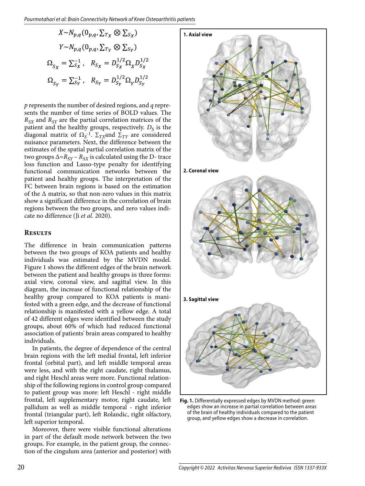$$
X \sim N_{p,q} (0_{p,q}, \Sigma_{Tx} \otimes \Sigma_{S_X})
$$
  
\n
$$
Y \sim N_{p,q} (0_{p,q}, \Sigma_{Tx} \otimes \Sigma_{S_Y})
$$
  
\n
$$
\Omega_{S_X} = \Sigma_{S_X}^{-1}, \quad R_{S_X} = D_{S_X}^{1/2} \Omega_X D_{S_X}^{1/2}
$$
  
\n
$$
\Omega_{S_Y} = \Sigma_{S_Y}^{-1}, \quad R_{S_Y} = D_{S_Y}^{1/2} \Omega_Y D_{S_Y}^{1/2}
$$

*p* represents the number of desired regions, and *q* represents the number of time series of BOLD values. The  $R_{SX}$  and  $R_{SY}$  are the partial correlation matrices of the patient and the healthy groups, respectively.  $D_S$  is the diagonal matrix of Ω*<sup>S</sup>* -1. ∑*TX*and ∑*TY* are considered nuisance parameters. Next, the difference between the estimates of the spatial partial correlation matrix of the two groups  $\Delta = R_{SY} - R_{SX}$  is calculated using the D- trace loss function and Lasso-type penalty for identifying functional communication networks between the patient and healthy groups. The interpretation of the FC between brain regions is based on the estimation of the Δ matrix, so that non-zero values in this matrix show a significant difference in the correlation of brain regions between the two groups, and zero values indicate no difference (Ji *et al.* 2020).

## **Results**

The difference in brain communication patterns between the two groups of KOA patients and healthy individuals was estimated by the MVDN model. Figure 1 shows the different edges of the brain network between the patient and healthy groups in three forms: axial view, coronal view, and sagittal view. In this diagram, the increase of functional relationship of the healthy group compared to KOA patients is manifested with a green edge, and the decrease of functional relationship is manifested with a yellow edge. A total of 42 different edges were identified between the study groups, about 60% of which had reduced functional association of patients' brain areas compared to healthy individuals.

In patients, the degree of dependence of the central brain regions with the left medial frontal, left inferior frontal (orbital part), and left middle temporal areas were less, and with the right caudate, right thalamus, and right Heschl areas were more. Functional relationship of the following regions in control group compared to patient group was more: left Heschl - right middle frontal, left supplementary motor, right caudate, left pallidum as well as middle temporal - right inferior frontal (triangular part), left Rolandic, right olfactory, left superior temporal.

Moreover, there were visible functional alterations in part of the default mode network between the two groups. For example, in the patient group, the connection of the cingulum area (anterior and posterior) with



**Fig. 1.** Differentially expressed edges by MVDN method: green edges show an increase in partial correlation between areas of the brain of healthy individuals compared to the patient group, and yellow edges show a decrease in correlation.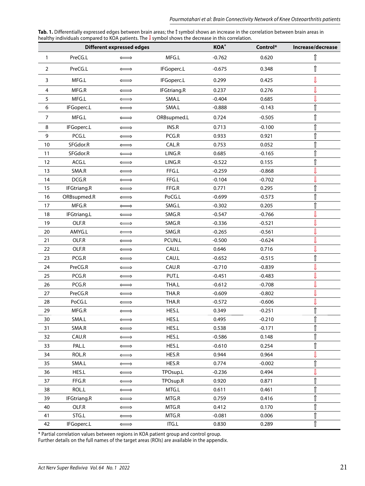| Tab. 1. Differentially expressed edges between brain areas; the 1 symbol shows an increase in the correlation between brain areas in |  |
|--------------------------------------------------------------------------------------------------------------------------------------|--|
| healthy individuals compared to KOA patients. The <i>I</i> symbol shows the decrease in this correlation.                            |  |

| <b>Different expressed edges</b> |                    |                       | KOA*               | Control* | Increase/decrease |                    |
|----------------------------------|--------------------|-----------------------|--------------------|----------|-------------------|--------------------|
| 1                                | PreCG.L            | $\Longleftrightarrow$ | MFG.L              | $-0.762$ | 0.620             | Î                  |
| $\overline{2}$                   | PreCG.L            | $\Longleftrightarrow$ | IFGoperc.L         | $-0.675$ | 0.348             | Î                  |
| 3                                | MFG.L              | $\Longleftrightarrow$ | IFGoperc.L         | 0.299    | 0.425             | $\mathbb{I}$       |
| 4                                | MFG.R              | $\Longleftrightarrow$ | <b>IFGtriang.R</b> | 0.237    | 0.276             | J                  |
| 5                                | MFG.L              | $\Longleftrightarrow$ | SMA.L              | $-0.404$ | 0.685             | J                  |
| 6                                | IFGoperc.L         | $\Longleftrightarrow$ | SMA.L              | $-0.888$ | $-0.143$          | $\hat{\mathbb{I}}$ |
| $\overline{7}$                   | MFG.L              | $\Longleftrightarrow$ | ORBsupmed.L        | 0.724    | $-0.505$          | $\hat{\mathbb{I}}$ |
| 8                                | IFGoperc.L         | $\Longleftrightarrow$ | INS.R              | 0.713    | $-0.100$          | Î                  |
| 9                                | PCG.L              | $\Longleftrightarrow$ | PCG.R              | 0.933    | 0.921             | ⇑                  |
| 10                               | SFGdor.R           | $\Longleftrightarrow$ | CAL.R              | 0.753    | 0.052             | ⇑                  |
| 11                               | SFGdor.R           | $\Longleftrightarrow$ | LING.R             | 0.685    | $-0.165$          | Î                  |
| 12                               | ACG.L              | $\Longleftrightarrow$ | LING.R             | $-0.522$ | 0.155             | $\hat{\mathbb{I}}$ |
| 13                               | SMA.R              | $\Longleftrightarrow$ | FFG.L              | $-0.259$ | $-0.868$          | J                  |
| 14                               | DCG.R              | $\Longleftrightarrow$ | FFG.L              | $-0.104$ | $-0.702$          | J                  |
| 15                               | <b>IFGtriang.R</b> | $\Longleftrightarrow$ | FFG.R              | 0.771    | 0.295             | $\hat{\mathbb{I}}$ |
| 16                               | ORBsupmed.R        | $\Longleftrightarrow$ | PoCG.L             | $-0.699$ | $-0.573$          | $\hat{\mathbb{I}}$ |
| 17                               | MFG.R              | $\Longleftrightarrow$ | SMG.L              | $-0.302$ | 0.205             | Î                  |
| 18                               | <b>IFGtriang.L</b> | $\Longleftrightarrow$ | SMG.R              | $-0.547$ | $-0.766$          | Į                  |
| 19                               | OLF.R              | $\Longleftrightarrow$ | SMG.R              | $-0.336$ | $-0.521$          | J                  |
| 20                               | AMYG.L             | $\Longleftrightarrow$ | SMG.R              | $-0.265$ | $-0.561$          | ſ                  |
| 21                               | OLF.R              | $\Longleftrightarrow$ | PCUN.L             | $-0.500$ | $-0.624$          | ⇓                  |
| 22                               | OLF.R              | $\Longleftrightarrow$ | CAU.L              | 0.646    | 0.716             | Į                  |
| 23                               | PCG.R              | $\Longleftrightarrow$ | CAU.L              | $-0.652$ | $-0.515$          | $\hat{\mathbb{I}}$ |
| 24                               | PreCG.R            | $\Longleftrightarrow$ | CAU.R              | $-0.710$ | $-0.839$          | J                  |
| 25                               | PCG.R              | $\Longleftrightarrow$ | PUT.L              | $-0.451$ | $-0.483$          | J                  |
| 26                               | PCG.R              | $\Longleftrightarrow$ | THA.L              | $-0.612$ | $-0.708$          | $\mathbb{J}$       |
| 27                               | PreCG.R            | $\Longleftrightarrow$ | THA.R              | $-0.609$ | $-0.802$          | Į                  |
| 28                               | PoCG.L             | $\Longleftrightarrow$ | THA.R              | $-0.572$ | $-0.606$          | J                  |
| 29                               | MFG.R              | $\Longleftrightarrow$ | HES.L              | 0.349    | $-0.251$          | $\hat{\mathbb{I}}$ |
| 30                               | SMA.L              | $\Longleftrightarrow$ | HES.L              | 0.495    | $-0.210$          | Î                  |
| 31                               | SMA.R              | $\Longleftrightarrow$ | HES.L              | 0.538    | $-0.171$          | $\hat{\mathbb{I}}$ |
| 32                               | CAU.R              | $\Longleftrightarrow$ | HES.L              | $-0.586$ | 0.148             | $\hat{\mathbb{I}}$ |
| 33                               | PAL.L              | $\Longleftrightarrow$ | HES.L              | $-0.610$ | 0.254             | ⇑                  |
| 34                               | ROL.R              | $\Longleftrightarrow$ | HES.R              | 0.944    | 0.964             | ⇓                  |
| 35                               | SMA.L              | $\Longleftrightarrow$ | HES.R              | 0.774    | $-0.002$          | $\hat{\mathbb{I}}$ |
| 36                               | HES.L              | $\Longleftrightarrow$ | TPOsup.L           | $-0.236$ | 0.494             | Į                  |
| 37                               | FFG.R              | $\Longleftrightarrow$ | TPOsup.R           | 0.920    | 0.871             | $\hat{\mathbb{I}}$ |
| 38                               | ROL.L              | $\Longleftrightarrow$ | MTG.L              | 0.611    | 0.461             | ⇑                  |
| 39                               | <b>IFGtriang.R</b> | $\Longleftrightarrow$ | MTG.R              | 0.759    | 0.416             | $\hat{\mathbb{I}}$ |
| 40                               | OLF.R              | $\Longleftrightarrow$ | MTG.R              | 0.412    | 0.170             | $\hat{\mathbb{I}}$ |
| 41                               | STG.L              | $\Longleftrightarrow$ | MTG.R              | $-0.081$ | 0.006             | $\hat{\mathbb{I}}$ |
| 42                               | IFGoperc.L         | $\Longleftrightarrow$ | ITG.L              | 0.830    | 0.289             | Î                  |

\* Partial correlation values between regions in KOA patient group and control group.

Further details on the full names of the target areas (ROIs) are available in the appendix.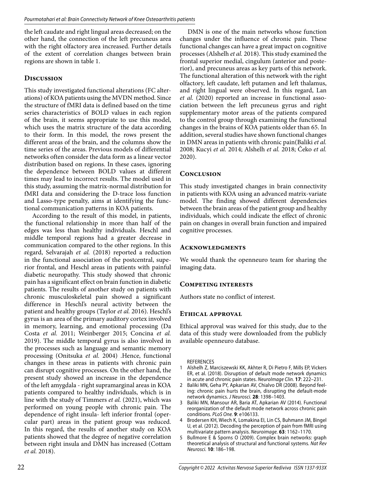the left caudate and right lingual areas decreased; on the other hand, the connection of the left precuneus area with the right olfactory area increased. Further details of the extent of correlation changes between brain regions are shown in table 1.

# **Discussion**

This study investigated functional alterations (FC alterations) of KOA patients using the MVDN method. Since the structure of fMRI data is defined based on the time series characteristics of BOLD values in each region of the brain, it seems appropriate to use this model, which uses the matrix structure of the data according to their form. In this model, the rows present the different areas of the brain, and the columns show the time series of the areas. Previous models of differential networks often consider the data form as a linear vector distribution based on regions. In these cases, ignoring the dependence between BOLD values at different times may lead to incorrect results. The model used in this study, assuming the matrix-normal distribution for fMRI data and considering the D-trace loss function and Lasso-type penalty, aims at identifying the functional communication patterns in KOA patients.

According to the result of this model, in patients, the functional relationship in more than half of the edges was less than healthy individuals. Heschl and middle temporal regions had a greater decrease in communication compared to the other regions. In this regard, Selvarajah *et al.* (2018) reported a reduction in the functional association of the postcentral, superior frontal, and Heschl areas in patients with painful diabetic neuropathy. This study showed that chronic pain has a significant effect on brain function in diabetic patients. The results of another study on patients with chronic musculoskeletal pain showed a significant difference in Heschl's neural activity between the patient and healthy groups (Taylor *et al.* 2016). Heschl's gyrus is an area of the primary auditory cortex involved in memory, learning, and emotional processing (Da Costa *et al.* 2011; Weinberger 2015; Concina *et al.* 2019). The middle temporal gyrus is also involved in the processes such as language and semantic memory processing (Onitsuka *et al.* 2004) .Hence, functional changes in these areas in patients with chronic pain can disrupt cognitive processes. On the other hand, the present study showed an increase in the dependence of the left amygdala - right supramarginal areas in KOA patients compared to healthy individuals, which is in line with the study of Timmers *et al.* (2021), which was performed on young people with chronic pain. The dependence of right insula- left inferior frontal (opercular part) areas in the patient group was reduced. In this regard, the results of another study on KOA patients showed that the degree of negative correlation between right insula and DMN has increased (Cottam *et al.* 2018).

DMN is one of the main networks whose function changes under the influence of chronic pain. These functional changes can have a great impact on cognitive processes (Alshelh *et al.* 2018). This study examined the frontal superior medial, cingulum (anterior and posterior), and precuneus areas as key parts of this network. The functional alteration of this network with the right olfactory, left caudate, left putamen and left thalamus, and right lingual were observed. In this regard, Lan *et al.* (2020) reported an increase in functional association between the left precuneus gyrus and right supplementary motor areas of the patients compared to the control group through examining the functional changes in the brains of KOA patients older than 65. In addition, several studies have shown functional changes in DMN areas in patients with chronic pain(Baliki *et al.* 2008; Kucyi *et al.* 2014; Alshelh *et al.* 2018; Čeko *et al.* 2020).

# **Conclusion**

This study investigated changes in brain connectivity in patients with KOA using an advanced matrix-variate model. The finding showed different dependencies between the brain areas of the patient group and healthy individuals, which could indicate the effect of chronic pain on changes in overall brain function and impaired cognitive processes.

## **Acknowledgments**

We would thank the openneuro team for sharing the imaging data.

## **Competing interests**

Authors state no conflict of interest.

## **Ethical approval**

Ethical approval was waived for this study, due to the data of this study were downloaded from the publicly available openneuro database.

**REFERENCES** 

- 1 Alshelh Z, Marciszewski KK, Akhter R, Di Pietro F, Mills EP, Vickers ER, et al. (2018). Disruption of default mode network dynamics in acute and chronic pain states. NeuroImage Clin. **17**: 222–231.
- 2 Baliki MN, Geha PY, Apkarian AV, Chialvo DR (2008). Beyond feeling: chronic pain hurts the brain, disrupting the default-mode network dynamics. J Neurosci. **28**: 1398–1403.
- 3 Baliki MN, Mansour AR, Baria AT, Apkarian AV (2014). Functional reorganization of the default mode network across chronic pain conditions. PLoS One. **9**: e106133.
- 4 Brodersen KH, Wiech K, Lomakina EI, Lin CS, Buhmann JM, Bingel U, et al. (2012). Decoding the perception of pain from fMRI using multivariate pattern analysis. Neuroimage. **63**: 1162–1170.
- 5 Bullmore E & Sporns O (2009). Complex brain networks: graph theoretical analysis of structural and functional systems. Nat Rev Neurosci. **10**: 186–198.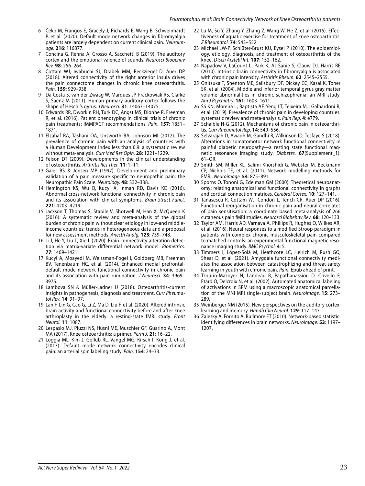- 6 Čeko M, Frangos E, Gracely J, Richards E, Wang B, Schweinhardt P, et al. (2020). Default mode network changes in fibromyalgia patients are largely dependent on current clinical pain. Neuroimage. **216**: 116877.
- 7 Concina G, Renna A, Grosso A, Sacchetti B (2019). The auditory cortex and the emotional valence of sounds. Neurosci Biobehav Rev. **98**: 256–264.
- 8 Cottam WJ, Iwabuchi SJ, Drabek MM, Reckziegel D, Auer DP (2018). Altered connectivity of the right anterior insula drives the pain connectome changes in chronic knee osteoarthritis. Pain. **159**: 929–938.
- 9 Da Costa S, van der Zwaag W, Marques JP, Frackowiak RS, Clarke S, Saenz M (2011). Human primary auditory cortex follows the shape of Heschl's gyrus. J Neurosci. **31**: 14067–14075.
- 10 Edwards RR, Dworkin RH, Turk DC, Angst MS, Dionne R, Freeman R, et al. (2016). Patient phenotyping in clinical trials of chronic pain treatments: IMMPACT recommendations. Pain. **157**: 1851– 1871.
- 11 Elzahaf RA, Tashani OA, Unsworth BA, Johnson MI (2012). The prevalence of chronic pain with an analysis of countries with a Human Development Index less than 0.9: a systematic review without meta-analysis. Curr Med Res Opin. **28**: 1221–1229.
- 12 Felson DT (2009). Developments in the clinical understanding of osteoarthritis. Arthritis Res Ther. **11**: 1–11.
- 13 Galer BS & Jensen MP (1997). Development and preliminary validation of a pain measure specific to neuropathic pain: the Neuropathic Pain Scale. Neurology. **48**: 332–338.
- 14 Hemington KS, Wu Q, Kucyi A, Inman RD, Davis KD (2016). Abnormal cross-network functional connectivity in chronic pain and its association with clinical symptoms. Brain Struct Funct. **221**: 4203–4219.
- 15 Jackson T, Thomas S, Stabile V, Shotwell M, Han X, McQueen K (2016). A systematic review and meta-analysis of the global burden of chronic pain without clear etiology in low-and middleincome countries: trends in heterogeneous data and a proposal for new assessment methods. Anesth Analg. **123**: 739–748.
- 16 Ji J, He Y, Liu L, Xie L (2020). Brain connectivity alteration detection via matrix‐variate differential network model. Biometrics. **77**: 1409–1421.
- 17 Kucyi A, Moayedi M, Weissman-Fogel I, Goldberg MB, Freeman BV, Tenenbaum HC, et al. (2014). Enhanced medial prefrontaldefault mode network functional connectivity in chronic pain and its association with pain rumination. J Neurosci. **34**: 3969– 3975.
- 18 Lambova SN & Müller-Ladner U (2018). Osteoarthritis-current insights in pathogenesis, diagnosis and treatment. Curr Rheumatol Rev. **14**: 91–97.
- 19 Lan F, Lin G, Cao G, Li Z, Ma D, Liu F, et al. (2020). Altered intrinsic brain activity and functional connectivity before and after knee arthroplasty in the elderly: a resting-state fMRI study. Front Neurol. **11**: 1087.
- 20 Lespasio MJ, Piuzzi NS, Husni ME, Muschler GF, Guarino A, Mont MA (2017). Knee osteoarthritis: a primer. Perm J. **21**: 16–22.
- 21 Loggia ML, Kim J, Gollub RL, Vangel MG, Kirsch I, Kong J, et al. (2013). Default mode network connectivity encodes clinical pain: an arterial spin labeling study. Pain. **154**: 24–33.
- 22 Lu M, Su Y, Zhang Y, Zhang Z, Wang W, He Z, et al. (2015). Effectiveness of aquatic exercise for treatment of knee osteoarthritis. Z Rheumatol. **74**: 543–552.
- 23 Michael JW-P, Schlüter-Brust KU, Eysel P (2010). The epidemiology, etiology, diagnosis, and treatment of osteoarthritis of the knee. Dtsch Arztebl Int. **107**: 152–162.
- 24 Napadow V, LaCount L, Park K, As‐Sanie S, Clauw DJ, Harris RE (2010). Intrinsic brain connectivity in fibromyalgia is associated with chronic pain intensity. Arthritis Rheum. **62**: 2545–2555.
- 25 Onitsuka T, Shenton ME, Salisbury DF, Dickey CC, Kasai K, Toner SK, et al. (2004). Middle and inferior temporal gyrus gray matter volume abnormalities in chronic schizophrenia: an MRI study. Am J Psychiatry. **161**: 1603–1611.
- 26 Sá KN, Moreira L, Baptista AF, Yeng LT, Teixeira MJ, Galhardoni R, et al. (2019). Prevalence of chronic pain in developing countries: systematic review and meta-analysis. Pain Rep. **4**: e779.
- 27 Schaible H-G (2012). Mechanisms of chronic pain in osteoarthritis. Curr Rheumatol Rep. **14**: 549–556.
- 28 Selvarajah D, Awadh M, Gandhi R, Wilkinson ID, Tesfaye S (2018). Alterations in somatomotor network functional connectivity in painful diabetic neuropathy—a resting state functional magnetic resonance imaging study. Diabetes. **67**(Supplement\_1): 61–OR.
- 29 Smith SM, Miller KL, Salimi-Khorshidi G, Webster M, Beckmann CF, Nichols TE, et al. (2011). Network modelling methods for FMRI. Neuroimage. **54**: 875–891.
- 30 Sporns O, Tononi G, Edelman GM (2000). Theoretical neuroanatomy: relating anatomical and functional connectivity in graphs and cortical connection matrices. Cerebral Cortex. **10**: 127–141.
- 31 Tanasescu R, Cottam WJ, Condon L, Tench CR, Auer DP (2016). Functional reorganisation in chronic pain and neural correlates of pain sensitisation: a coordinate based meta-analysis of 266 cutaneous pain fMRI studies. Neurosci Biobehav Rev. **68**: 120–133.
- 32 Taylor AM, Harris AD, Varnava A, Phillips R, Hughes O, Wilkes AR, et al. (2016). Neural responses to a modified Stroop paradigm in patients with complex chronic musculoskeletal pain compared to matched controls: an experimental functional magnetic resonance imaging study. BMC Psychol. **4**: 5.
- 33 Timmers I, López-Solà M, Heathcote LC, Heirich M, Rush GQ, Shear D, et al. (2021). Amygdala functional connectivity mediates the association between catastrophizing and threat-safety learning in youth with chronic pain. Pain. Epub ahead of print.
- 34 Tzourio-Mazoyer N, Landeau B, Papathanassiou D, Crivello F, Etard O, Delcroix N, et al. (2002). Automated anatomical labeling of activations in SPM using a macroscopic anatomical parcellation of the MNI MRI single-subject brain. Neuroimage. **15**: 273– 289.
- 35 Weinberger NM (2015). New perspectives on the auditory cortex: learning and memory. Handb Clin Neurol. **129**: 117–147.
- 36 Zalesky A, Fornito A, Bullmore ET (2010). Network-based statistic: identifying differences in brain networks. Neuroimage. **53**: 1197– 1207.